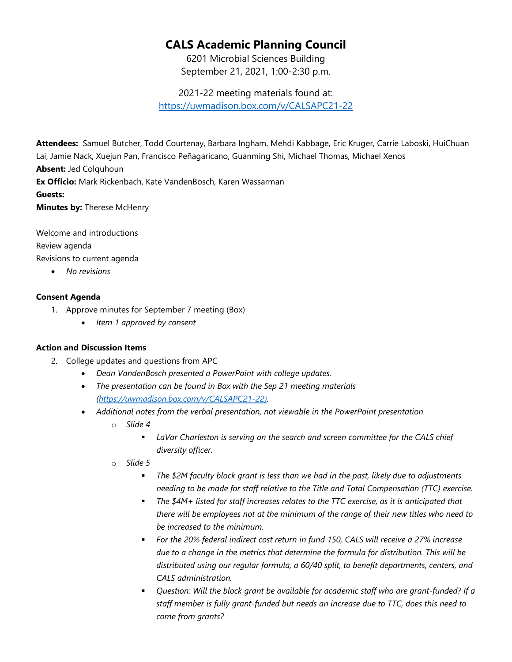## **CALS Academic Planning Council**

6201 Microbial Sciences Building September 21, 2021, 1:00-2:30 p.m.

2021-22 meeting materials found at:

<https://uwmadison.box.com/v/CALSAPC21-22>

**Attendees:** Samuel Butcher, Todd Courtenay, Barbara Ingham, Mehdi Kabbage, Eric Kruger, Carrie Laboski, HuiChuan Lai, Jamie Nack, Xuejun Pan, Francisco Peñagaricano, Guanming Shi, Michael Thomas, Michael Xenos **Absent:** Jed Colquhoun **Ex Officio:** Mark Rickenbach, Kate VandenBosch, Karen Wassarman **Guests: Minutes by:** Therese McHenry

Welcome and introductions Review agenda Revisions to current agenda

• *No revisions* 

## **Consent Agenda**

- 1. Approve minutes for September 7 meeting (Box)
	- *Item 1 approved by consent*

## **Action and Discussion Items**

- 2. College updates and questions from APC
	- *Dean VandenBosch presented a PowerPoint with college updates.*
	- *The presentation can be found in Box with the Sep 21 meeting materials [\(https://uwmadison.box.com/v/CALSAPC21-22\)](https://uwmadison.box.com/v/CALSAPC21-22).*
	- *Additional notes from the verbal presentation, not viewable in the PowerPoint presentation*
		- o *Slide 4*
			- *LaVar Charleston is serving on the search and screen committee for the CALS chief diversity officer.*
		- o *Slide 5*
			- *The \$2M faculty block grant is less than we had in the past, likely due to adjustments needing to be made for staff relative to the Title and Total Compensation (TTC) exercise.*
			- *The \$4M+ listed for staff increases relates to the TTC exercise, as it is anticipated that there will be employees not at the minimum of the range of their new titles who need to be increased to the minimum.*
			- *For the 20% federal indirect cost return in fund 150, CALS will receive a 27% increase due to a change in the metrics that determine the formula for distribution. This will be distributed using our regular formula, a 60/40 split, to benefit departments, centers, and CALS administration.*
			- *Question: Will the block grant be available for academic staff who are grant-funded? If a staff member is fully grant-funded but needs an increase due to TTC, does this need to come from grants?*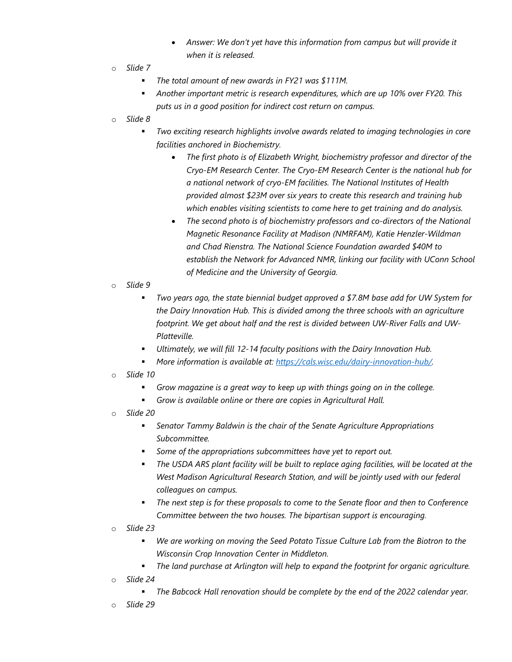- *Answer: We don't yet have this information from campus but will provide it when it is released.*
- o *Slide 7*
	- *The total amount of new awards in FY21 was \$111M.*
	- *Another important metric is research expenditures, which are up 10% over FY20. This puts us in a good position for indirect cost return on campus.*
- o *Slide 8*
	- *Two exciting research highlights involve awards related to imaging technologies in core facilities anchored in Biochemistry.*
		- *The first photo is of Elizabeth Wright, biochemistry professor and director of the Cryo-EM Research Center. The Cryo-EM Research Center is the national hub for a national network of cryo-EM facilities. The National Institutes of Health provided almost \$23M over six years to create this research and training hub which enables visiting scientists to come here to get training and do analysis.*
		- *The second photo is of biochemistry professors and co-directors of the National Magnetic Resonance Facility at Madison (NMRFAM), Katie Henzler-Wildman and Chad Rienstra. The National Science Foundation awarded \$40M to establish the Network for Advanced NMR, linking our facility with UConn School of Medicine and the University of Georgia.*
- o *Slide 9*
	- *Two years ago, the state biennial budget approved a \$7.8M base add for UW System for the Dairy Innovation Hub. This is divided among the three schools with an agriculture footprint. We get about half and the rest is divided between UW-River Falls and UW-Platteville.*
	- *Ultimately, we will fill 12-14 faculty positions with the Dairy Innovation Hub.*
	- *More information is available at: [https://cals.wisc.edu/dairy-innovation-hub/.](https://cals.wisc.edu/dairy-innovation-hub/)*
- o *Slide 10*
	- *Grow magazine is a great way to keep up with things going on in the college.*
	- *Grow is available online or there are copies in Agricultural Hall.*
- o *Slide 20*
	- *Senator Tammy Baldwin is the chair of the Senate Agriculture Appropriations Subcommittee.*
	- *Some of the appropriations subcommittees have yet to report out.*
	- *The USDA ARS plant facility will be built to replace aging facilities, will be located at the West Madison Agricultural Research Station, and will be jointly used with our federal colleagues on campus.*
	- *The next step is for these proposals to come to the Senate floor and then to Conference Committee between the two houses. The bipartisan support is encouraging.*
- o *Slide 23*
	- *We are working on moving the Seed Potato Tissue Culture Lab from the Biotron to the Wisconsin Crop Innovation Center in Middleton.*
	- *The land purchase at Arlington will help to expand the footprint for organic agriculture.*
- o *Slide 24*
	- *The Babcock Hall renovation should be complete by the end of the 2022 calendar year.*
- o *Slide 29*